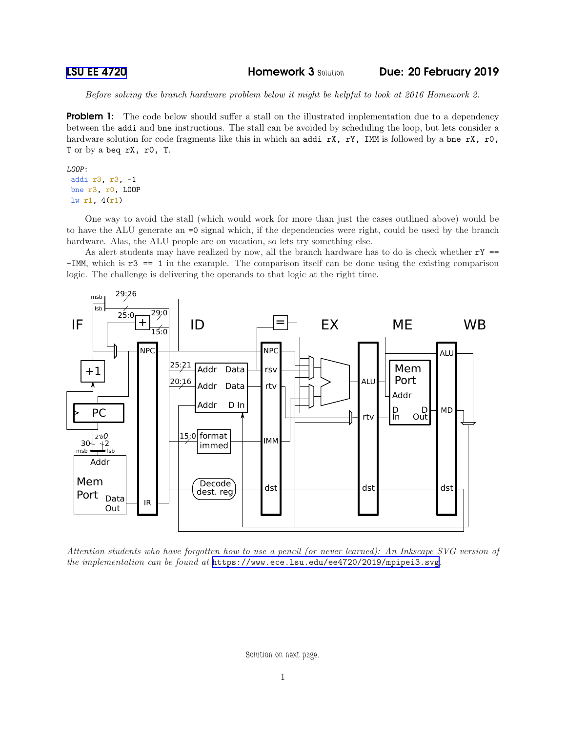[LSU EE 4720](https://www.ece.lsu.edu/ee4720/) Homework 3 *Solution* Due: 20 February 2019

*Before solving the branch hardware problem below it might be helpful to look at 2016 Homework 2.*

**Problem 1:** The code below should suffer a stall on the illustrated implementation due to a dependency between the addi and bne instructions. The stall can be avoided by scheduling the loop, but lets consider a hardware solution for code fragments like this in which an addi rX, rY, IMM is followed by a bne rX, r0, T or by a beq rX, r0, T.

```
LOOP:
```
addi r3, r3, -1 bne r3, r0, LOOP lw r1, 4(r1)

One way to avoid the stall (which would work for more than just the cases outlined above) would be to have the ALU generate an =0 signal which, if the dependencies were right, could be used by the branch hardware. Alas, the ALU people are on vacation, so lets try something else.

As alert students may have realized by now, all the branch hardware has to do is check whether  $rY =$ -IMM, which is r3 == 1 in the example. The comparison itself can be done using the existing comparison logic. The challenge is delivering the operands to that logic at the right time.



*Attention students who have forgotten how to use a pencil (or never learned): An Inkscape SVG version of the implementation can be found at* <https://www.ece.lsu.edu/ee4720/2019/mpipei3.svg>*.*

*Solution on next page.*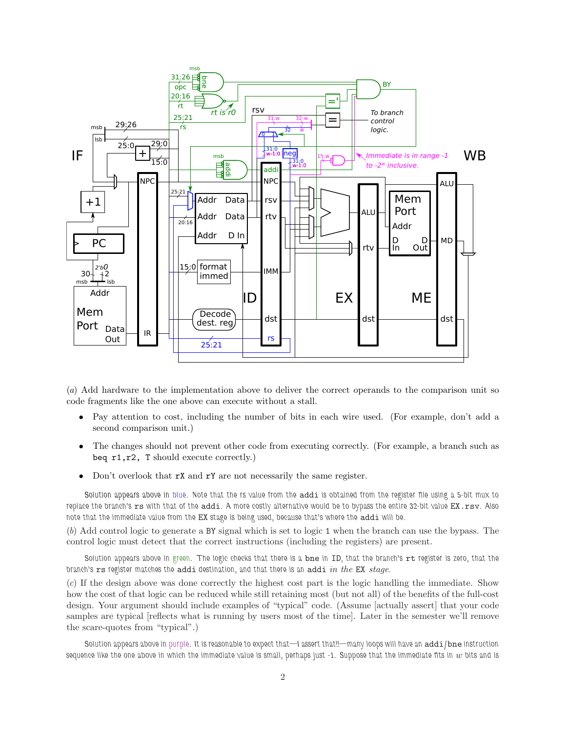

(*a*) Add hardware to the implementation above to deliver the correct operands to the comparison unit so code fragments like the one above can execute without a stall.

- Pay attention to cost, including the number of bits in each wire used. (For example, don't add a second comparison unit.)
- The changes should not prevent other code from executing correctly. (For example, a branch such as beq  $r1, r2$ , T should execute correctly.)
- Don't overlook that **rX** and **rY** are not necessarily the same register.

*Solution appears above in blue. Note that the rs value from the* addi *is obtained from the register file using a 5-bit mux to replace the branch's* rs *with that of the* addi*. A more costly alternative would be to bypass the entire 32-bit value* EX.rsv*. Also note that the immediate value from the* EX *stage is being used, because that's where the* addi *will be.*

(*b*) Add control logic to generate a BY signal which is set to logic 1 when the branch can use the bypass. The control logic must detect that the correct instructions (including the registers) are present.

*Solution appears above in green. The logic checks that there is a* bne *in* ID*, that the branch's* rt *register is zero, that the branch's* rs *register matches the* addi *destination, and that there is an* addi *in the* EX *stage.*

(*c*) If the design above was done correctly the highest cost part is the logic handling the immediate. Show how the cost of that logic can be reduced while still retaining most (but not all) of the benefits of the full-cost design. Your argument should include examples of "typical" code. (Assume [actually assert] that your code samples are typical [reflects what is running by users most of the time]. Later in the semester we'll remove the scare-quotes from "typical".)

*Solution appears above in purple. It is reasonable to expect that—I assert that!!—many loops will have an* addi*/*bne *instruction* sequence like the one above in which the immediate value is small, perhaps just  $-1$ . Suppose that the immediate fits in  $w$  bits and is